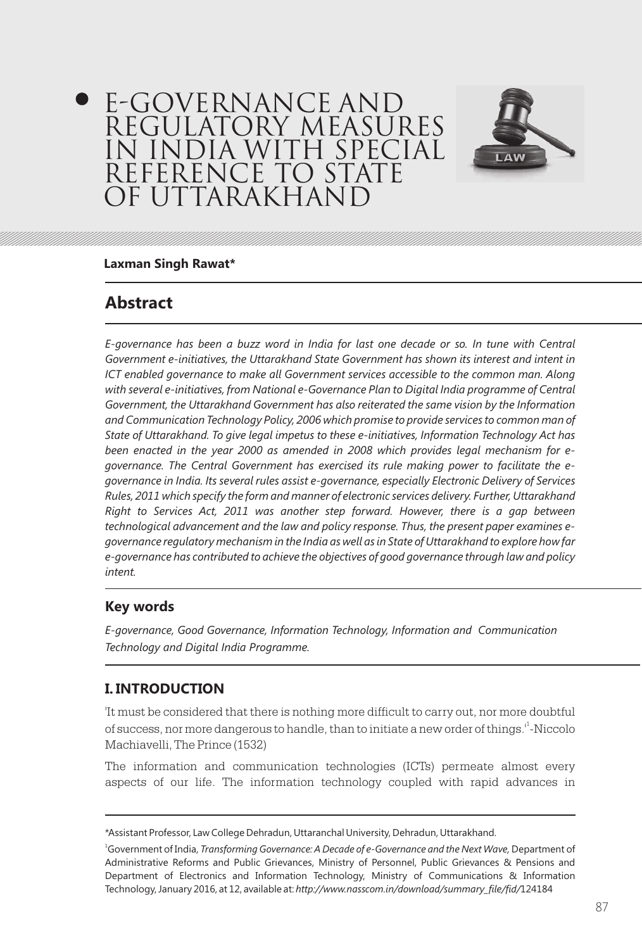# E-GOVERNANCE AND REGULATORY MEASURES IN INDIA WITH SPECIAL REFERENCE TO STATE OF UTTARAKHAND



#### **Laxman Singh Rawat\***

## **Abstract**

*E-governance has been a buzz word in India for last one decade or so. In tune with Central Government e-initiatives, the Uttarakhand State Government has shown its interest and intent in ICT enabled governance to make all Government services accessible to the common man. Along* with several e-initiatives, from National e-Governance Plan to Digital India programme of Central *Government, the Uttarakhand Government has also reiterated the same vision by the Information and Communication Technology Policy, 2006 which promise to provide services to common man of State of Uttarakhand. To give legal impetus to these e-initiatives, Information Technology Act has been enacted in the year 2000 as amended in 2008 which provides legal mechanism for egovernance. The Central Government has exercised its rule making power to facilitate the egovernance in India. Its several rules assist e-governance, especially Electronic Delivery of Services Rules, 2011 which specify the form and manner of electronic services delivery. Further, Uttarakhand Right to Services Act, 2011 was another step forward. However, there is a gap between technological advancement and the law and policy response. Thus, the present paper examines egovernance regulatory mechanism in the India as well as in State of Uttarakhand to explore how far e-governance has contributed to achieve the objectives of good governance through law and policy intent.*

#### **Key words**

*E-governance, Good Governance, Information Technology, Information and Communication Technology and Digital India Programme.*

#### **I. INTRODUCTION**

'It must be considered that there is nothing more difficult to carry out, nor more doubtful of success, nor more dangerous to handle, than to initiate a new order of things.'<sup>1</sup>-Niccolo Machiavelli, The Prince (1532)

The information and communication technologies (ICTs) permeate almost every aspects of our life. The information technology coupled with rapid advances in

<sup>\*</sup>Assistant Professor, Law College Dehradun, Uttaranchal University, Dehradun, Uttarakhand.

<sup>1</sup>Government of India, *Transforming Governance: A Decade of e-Governance and the Next Wave,* Department of Administrative Reforms and Public Grievances, Ministry of Personnel, Public Grievances & Pensions and Department of Electronics and Information Technology, Ministry of Communications & Information Technology, January 2016, at 12, available at: *http://www.nasscom.in/download/summary\_file/fid/*124184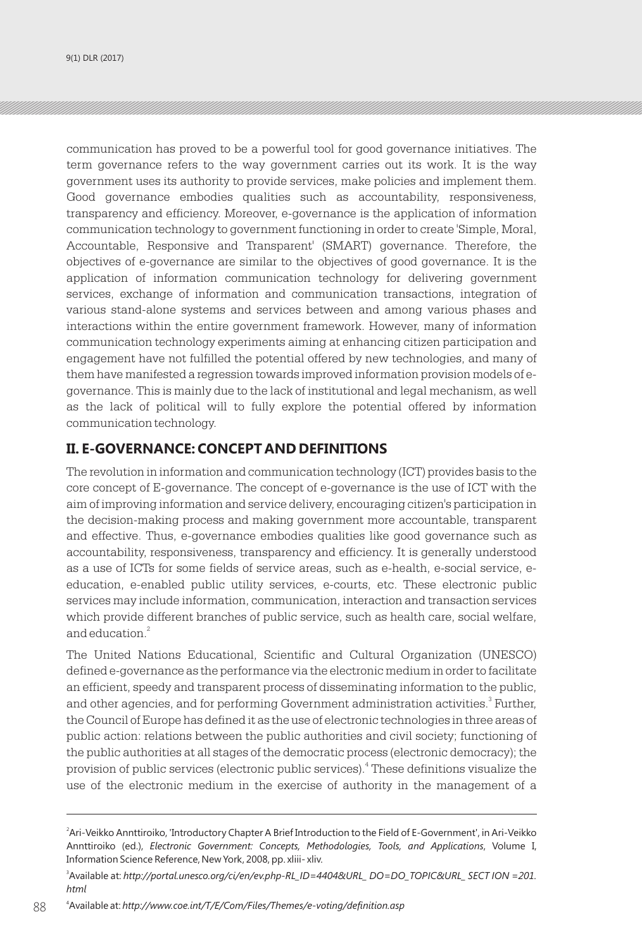communication has proved to be a powerful tool for good governance initiatives. The term governance refers to the way government carries out its work. It is the way government uses its authority to provide services, make policies and implement them. Good governance embodies qualities such as accountability, responsiveness, transparency and efficiency. Moreover, e-governance is the application of information communication technology to government functioning in order to create 'Simple, Moral, Accountable, Responsive and Transparent' (SMART) governance. Therefore, the objectives of e-governance are similar to the objectives of good governance. It is the application of information communication technology for delivering government services, exchange of information and communication transactions, integration of various stand-alone systems and services between and among various phases and interactions within the entire government framework. However, many of information communication technology experiments aiming at enhancing citizen participation and engagement have not fulfilled the potential offered by new technologies, and many of them have manifested a regression towards improved information provision models of egovernance. This is mainly due to the lack of institutional and legal mechanism, as well as the lack of political will to fully explore the potential offered by information communication technology.

#### **II. E-GOVERNANCE: CONCEPT AND DEFINITIONS**

The revolution in information and communication technology (ICT) provides basis to the core concept of E-governance. The concept of e-governance is the use of ICT with the aim of improving information and service delivery, encouraging citizen's participation in the decision-making process and making government more accountable, transparent and effective. Thus, e-governance embodies qualities like good governance such as accountability, responsiveness, transparency and efficiency. It is generally understood as a use of ICTs for some fields of service areas, such as e-health, e-social service, eeducation, e-enabled public utility services, e-courts, etc. These electronic public services may include information, communication, interaction and transaction services which provide different branches of public service, such as health care, social welfare, and education.<sup>2</sup>

The United Nations Educational, Scientific and Cultural Organization (UNESCO) defined e-governance as the performance via the electronic medium in order to facilitate an efficient, speedy and transparent process of disseminating information to the public, and other agencies, and for performing Government administration activities.<sup>3</sup> Further, the Council of Europe has defined it as the use of electronic technologies in three areas of public action: relations between the public authorities and civil society; functioning of the public authorities at all stages of the democratic process (electronic democracy); the provision of public services (electronic public services).<sup>4</sup> These definitions visualize the use of the electronic medium in the exercise of authority in the management of a

<sup>2</sup> Ari-Veikko Annttiroiko, 'Introductory Chapter A Brief Introduction to the Field of E-Government', in Ari-Veikko Annttiroiko (ed.), *Electronic Government: Concepts, Methodologies, Tools, and Applications*, Volume I, Information Science Reference, New York, 2008, pp. xliii- xliv.

<sup>3</sup> Available at: *http://portal.unesco.org/ci/en/ev.php-RL\_ID=4404&URL\_ DO=DO\_TOPIC&URL\_ SECT ION =201. html*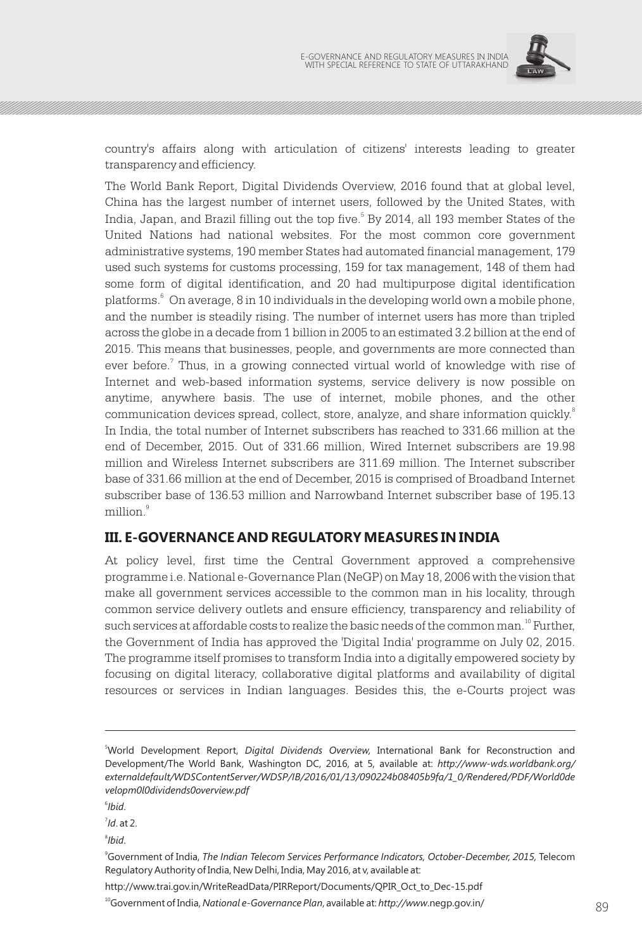

country's affairs along with articulation of citizens' interests leading to greater transparency and efficiency.

The World Bank Report, Digital Dividends Overview, 2016 found that at global level, China has the largest number of internet users, followed by the United States, with India, Japan, and Brazil filling out the top five.<sup>5</sup> By 2014, all 193 member States of the United Nations had national websites. For the most common core government administrative systems, 190 member States had automated financial management, 179 used such systems for customs processing, 159 for tax management, 148 of them had some form of digital identification, and 20 had multipurpose digital identification platforms.<sup>6</sup> On average, 8 in 10 individuals in the developing world own a mobile phone, and the number is steadily rising. The number of internet users has more than tripled across the globe in a decade from 1 billion in 2005 to an estimated 3.2 billion at the end of 2015. This means that businesses, people, and governments are more connected than ever before.<sup>7</sup> Thus, in a growing connected virtual world of knowledge with rise of Internet and web-based information systems, service delivery is now possible on anytime, anywhere basis. The use of internet, mobile phones, and the other communication devices spread, collect, store, analyze, and share information quickly. In India, the total number of Internet subscribers has reached to 331.66 million at the end of December, 2015. Out of 331.66 million, Wired Internet subscribers are 19.98 million and Wireless Internet subscribers are 311.69 million. The Internet subscriber base of 331.66 million at the end of December, 2015 is comprised of Broadband Internet subscriber base of 136.53 million and Narrowband Internet subscriber base of 195.13 million<sup>9</sup>

### **III. E-GOVERNANCE AND REGULATORY MEASURES IN INDIA**

At policy level, first time the Central Government approved a comprehensive programme i.e. National e-Governance Plan (NeGP) on May 18, 2006 with the vision that make all government services accessible to the common man in his locality, through common service delivery outlets and ensure efficiency, transparency and reliability of such services at affordable costs to realize the basic needs of the common man.<sup>10</sup> Further, the Government of India has approved the 'Digital India' programme on July 02, 2015. The programme itself promises to transform India into a digitally empowered society by focusing on digital literacy, collaborative digital platforms and availability of digital resources or services in Indian languages. Besides this, the e-Courts project was

6 *Ibid*.

7 *Id*. at 2.

8 *Ibid*.

<sup>9</sup>Government of India, *The Indian Telecom Services Performance Indicators, October-December, 2015,* Telecom Regulatory Authority of India, New Delhi, India, May 2016, at v, available at:

http://www.trai.gov.in/WriteReadData/PIRReport/Documents/QPIR\_Oct\_to\_Dec-15.pdf

<sup>10</sup>Government of India, *National e-Governance Plan*, available at: *http://www.*negp.gov.in/ 899

<sup>5</sup>World Development Report, *Digital Dividends Overview,* International Bank for Reconstruction and Development/The World Bank, Washington DC, 2016, at 5, available at: *http://www-wds.worldbank.org/ externaldefault/WDSContentServer/WDSP/IB/2016/01/13/090224b08405b9fa/1\_0/Rendered/PDF/World0de velopm0l0dividends0overview.pdf*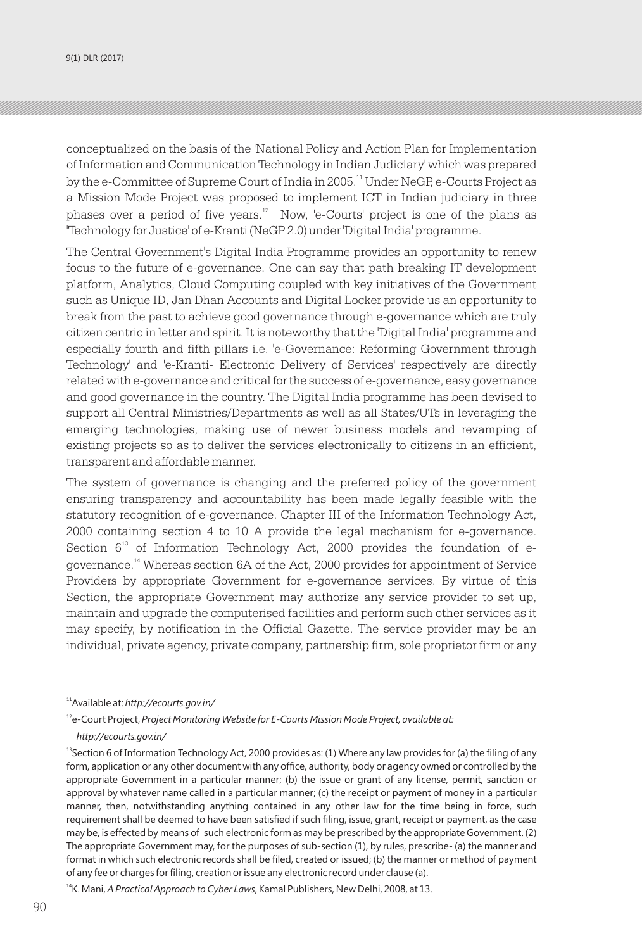9(1) DLR (2017)

conceptualized on the basis of the 'National Policy and Action Plan for Implementation of Information and Communication Technology in Indian Judiciary' which was prepared by the e-Committee of Supreme Court of India in 2005.<sup>11</sup> Under NeGP, e-Courts Project as a Mission Mode Project was proposed to implement ICT in Indian judiciary in three phases over a period of five years. $12$  Now, 'e-Courts' project is one of the plans as 'Technology for Justice' of e-Kranti (NeGP 2.0) under 'Digital India' programme.

The Central Government's Digital India Programme provides an opportunity to renew focus to the future of e-governance. One can say that path breaking IT development platform, Analytics, Cloud Computing coupled with key initiatives of the Government such as Unique ID, Jan Dhan Accounts and Digital Locker provide us an opportunity to break from the past to achieve good governance through e-governance which are truly citizen centric in letter and spirit. It is noteworthy that the 'Digital India' programme and especially fourth and fifth pillars i.e. 'e-Governance: Reforming Government through Technology' and 'e-Kranti- Electronic Delivery of Services' respectively are directly related with e-governance and critical for the success of e-governance, easy governance and good governance in the country. The Digital India programme has been devised to support all Central Ministries/Departments as well as all States/UTs in leveraging the emerging technologies, making use of newer business models and revamping of existing projects so as to deliver the services electronically to citizens in an efficient, transparent and affordable manner.

The system of governance is changing and the preferred policy of the government ensuring transparency and accountability has been made legally feasible with the statutory recognition of e-governance. Chapter III of the Information Technology Act, 2000 containing section 4 to 10 A provide the legal mechanism for e-governance. Section  $6^{13}$  of Information Technology Act, 2000 provides the foundation of egovernance.<sup>14</sup> Whereas section 6A of the Act, 2000 provides for appointment of Service Providers by appropriate Government for e-governance services. By virtue of this Section, the appropriate Government may authorize any service provider to set up, maintain and upgrade the computerised facilities and perform such other services as it may specify, by notification in the Official Gazette. The service provider may be an individual, private agency, private company, partnership firm, sole proprietor firm or any

<sup>11</sup>Available at: *http://ecourts.gov.in/*

<sup>&</sup>lt;sup>12</sup>e-Court Project, *Project Monitoring Website for E-Courts Mission Mode Project, available at:* 

*http://ecourts.gov.in/*

<sup>&</sup>lt;sup>13</sup>Section 6 of Information Technology Act, 2000 provides as: (1) Where any law provides for (a) the filing of any form, application or any other document with any office, authority, body or agency owned or controlled by the appropriate Government in a particular manner; (b) the issue or grant of any license, permit, sanction or approval by whatever name called in a particular manner; (c) the receipt or payment of money in a particular manner, then, notwithstanding anything contained in any other law for the time being in force, such requirement shall be deemed to have been satisfied if such filing, issue, grant, receipt or payment, as the case may be, is effected by means of such electronic form as may be prescribed by the appropriate Government. (2) The appropriate Government may, for the purposes of sub-section (1), by rules, prescribe- (a) the manner and format in which such electronic records shall be filed, created or issued; (b) the manner or method of payment of any fee or charges for filing, creation or issue any electronic record under clause (a).

<sup>&</sup>lt;sup>14</sup>K. Mani, *A Practical Approach to Cyber Laws*, Kamal Publishers, New Delhi, 2008, at 13.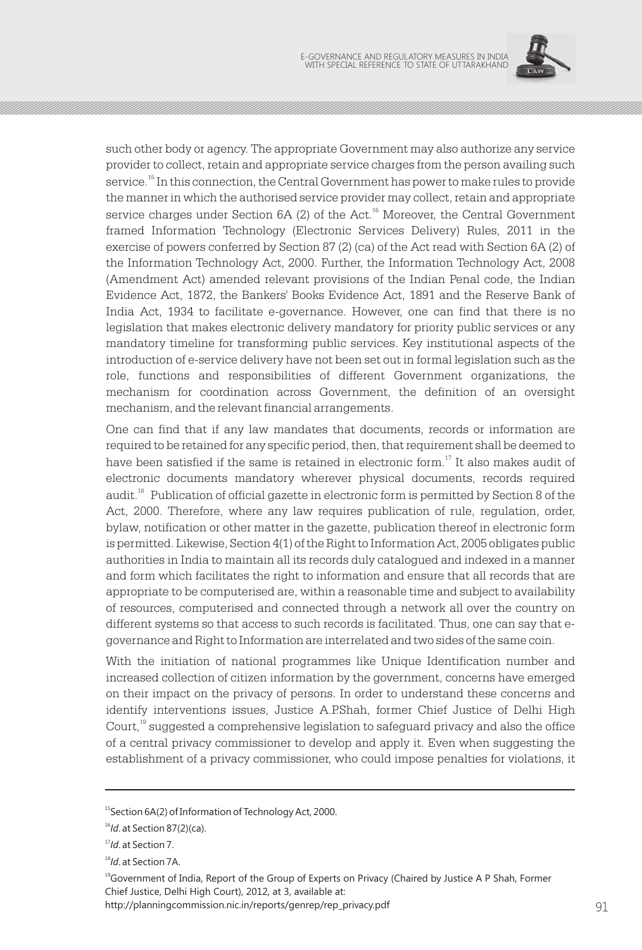

such other body or agency. The appropriate Government may also authorize any service provider to collect, retain and appropriate service charges from the person availing such service.<sup>15</sup> In this connection, the Central Government has power to make rules to provide the manner in which the authorised service provider may collect, retain and appropriate service charges under Section 6A (2) of the Act.<sup>16</sup> Moreover, the Central Government framed Information Technology (Electronic Services Delivery) Rules, 2011 in the exercise of powers conferred by Section 87 (2) (ca) of the Act read with Section 6A (2) of the Information Technology Act, 2000. Further, the Information Technology Act, 2008 (Amendment Act) amended relevant provisions of the Indian Penal code, the Indian Evidence Act, 1872, the Bankers' Books Evidence Act, 1891 and the Reserve Bank of India Act, 1934 to facilitate e-governance. However, one can find that there is no legislation that makes electronic delivery mandatory for priority public services or any mandatory timeline for transforming public services. Key institutional aspects of the introduction of e-service delivery have not been set out in formal legislation such as the role, functions and responsibilities of different Government organizations, the mechanism for coordination across Government, the definition of an oversight mechanism, and the relevant financial arrangements.

One can find that if any law mandates that documents, records or information are required to be retained for any specific period, then, that requirement shall be deemed to have been satisfied if the same is retained in electronic form.<sup>17</sup> It also makes audit of electronic documents mandatory wherever physical documents, records required audit.<sup>18</sup> Publication of official gazette in electronic form is permitted by Section 8 of the Act, 2000. Therefore, where any law requires publication of rule, regulation, order, bylaw, notification or other matter in the gazette, publication thereof in electronic form is permitted. Likewise, Section 4(1) of the Right to Information Act, 2005 obligates public authorities in India to maintain all its records duly catalogued and indexed in a manner and form which facilitates the right to information and ensure that all records that are appropriate to be computerised are, within a reasonable time and subject to availability of resources, computerised and connected through a network all over the country on different systems so that access to such records is facilitated. Thus, one can say that egovernance and Right to Information are interrelated and two sides of the same coin.

With the initiation of national programmes like Unique Identification number and increased collection of citizen information by the government, concerns have emerged on their impact on the privacy of persons. In order to understand these concerns and identify interventions issues, Justice A.P.Shah, former Chief Justice of Delhi High Court,<sup>19</sup> suggested a comprehensive legislation to safeguard privacy and also the office of a central privacy commissioner to develop and apply it. Even when suggesting the establishment of a privacy commissioner, who could impose penalties for violations, it

<sup>&</sup>lt;sup>15</sup>Section 6A(2) of Information of Technology Act, 2000.

<sup>16</sup>*Id*. at Section 87(2)(ca).

<sup>17</sup>*Id*. at Section 7.

<sup>18</sup>*Id*. at Section 7A.

<sup>19</sup>Government of India, Report of the Group of Experts on Privacy (Chaired by Justice A P Shah, Former Chief Justice, Delhi High Court), 2012, at 3, available at:

http://planningcommission.nic.in/reports/genrep/rep\_privacy.pdf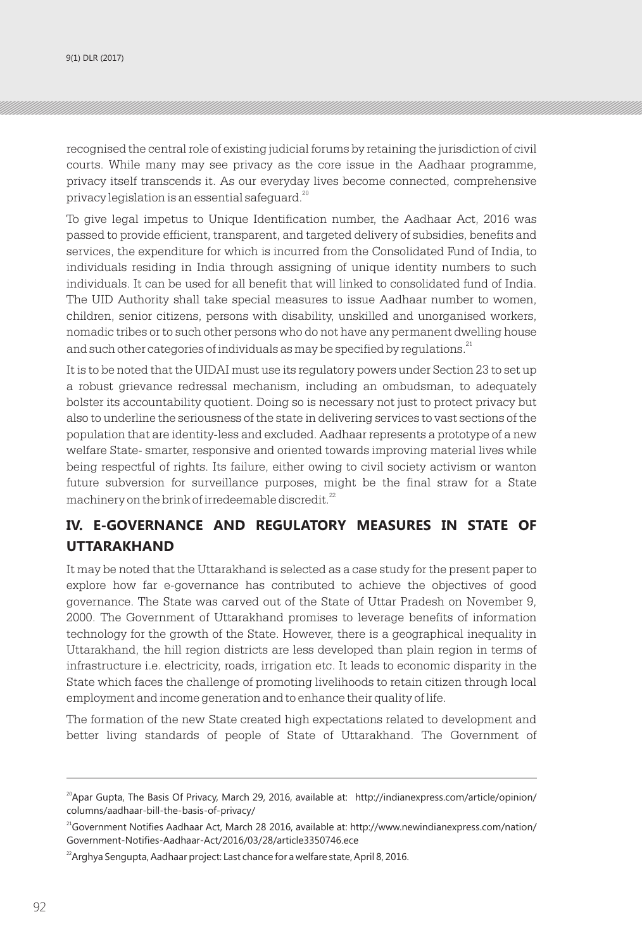recognised the central role of existing judicial forums by retaining the jurisdiction of civil courts. While many may see privacy as the core issue in the Aadhaar programme, privacy itself transcends it. As our everyday lives become connected, comprehensive privacy legislation is an essential safeguard.<sup>20</sup>

To give legal impetus to Unique Identification number, the Aadhaar Act, 2016 was passed to provide efficient, transparent, and targeted delivery of subsidies, benefits and services, the expenditure for which is incurred from the Consolidated Fund of India, to individuals residing in India through assigning of unique identity numbers to such individuals. It can be used for all benefit that will linked to consolidated fund of India. The UID Authority shall take special measures to issue Aadhaar number to women, children, senior citizens, persons with disability, unskilled and unorganised workers, nomadic tribes or to such other persons who do not have any permanent dwelling house and such other categories of individuals as may be specified by regulations.<sup>21</sup>

It is to be noted that the UIDAI must use its regulatory powers under Section 23 to set up a robust grievance redressal mechanism, including an ombudsman, to adequately bolster its accountability quotient. Doing so is necessary not just to protect privacy but also to underline the seriousness of the state in delivering services to vast sections of the population that are identity-less and excluded. Aadhaar represents a prototype of a new welfare State- smarter, responsive and oriented towards improving material lives while being respectful of rights. Its failure, either owing to civil society activism or wanton future subversion for surveillance purposes, might be the final straw for a State machinery on the brink of irredeemable discredit.<sup>22</sup>

## **IV. E-GOVERNANCE AND REGULATORY MEASURES IN STATE OF UTTARAKHAND**

It may be noted that the Uttarakhand is selected as a case study for the present paper to explore how far e-governance has contributed to achieve the objectives of good governance. The State was carved out of the State of Uttar Pradesh on November 9, 2000. The Government of Uttarakhand promises to leverage benefits of information technology for the growth of the State. However, there is a geographical inequality in Uttarakhand, the hill region districts are less developed than plain region in terms of infrastructure i.e. electricity, roads, irrigation etc. It leads to economic disparity in the State which faces the challenge of promoting livelihoods to retain citizen through local employment and income generation and to enhance their quality of life.

The formation of the new State created high expectations related to development and better living standards of people of State of Uttarakhand. The Government of

 $^{20}$ Apar Gupta, The Basis Of Privacy, March 29, 2016, available at: http://indianexpress.com/article/opinion/ columns/aadhaar-bill-the-basis-of-privacy/

<sup>21</sup>Government Notifies Aadhaar Act, March 28 2016, available at: http://www.newindianexpress.com/nation/ Government-Notifies-Aadhaar-Act/2016/03/28/article3350746.ece

 $^{22}$ Arghya Sengupta, Aadhaar project: Last chance for a welfare state, April 8, 2016.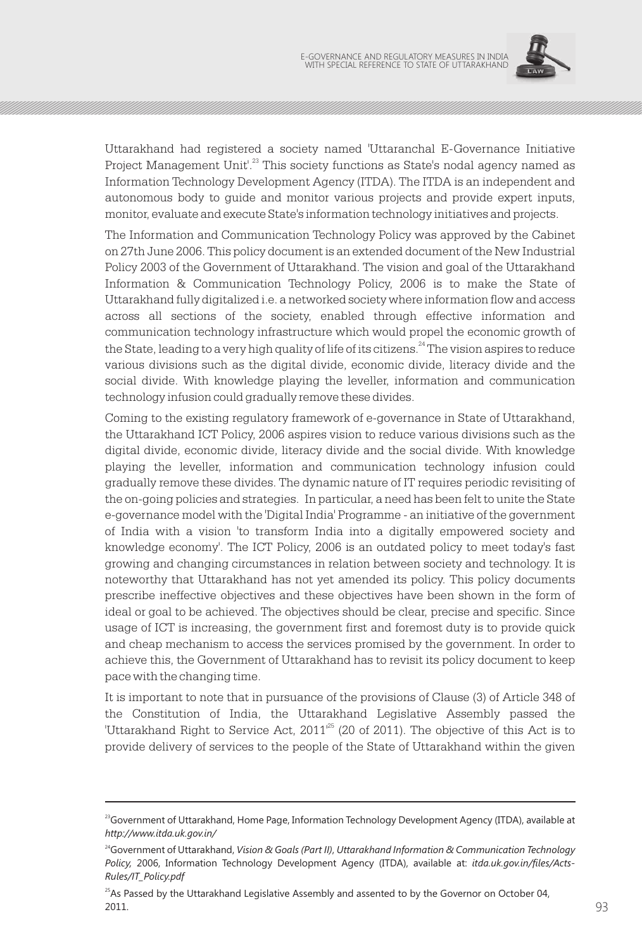

Uttarakhand had registered a society named 'Uttaranchal E-Governance Initiative Project Management Unit'.<sup>23</sup> This society functions as State's nodal agency named as Information Technology Development Agency (ITDA). The ITDA is an independent and autonomous body to guide and monitor various projects and provide expert inputs, monitor, evaluate and execute State's information technology initiatives and projects.

The Information and Communication Technology Policy was approved by the Cabinet on 27th June 2006. This policy document is an extended document of the New Industrial Policy 2003 of the Government of Uttarakhand. The vision and goal of the Uttarakhand Information & Communication Technology Policy, 2006 is to make the State of Uttarakhand fully digitalized i.e. a networked society where information flow and access across all sections of the society, enabled through effective information and communication technology infrastructure which would propel the economic growth of the State, leading to a very high quality of life of its citizens.<sup>24</sup> The vision aspires to reduce various divisions such as the digital divide, economic divide, literacy divide and the social divide. With knowledge playing the leveller, information and communication technology infusion could gradually remove these divides.

Coming to the existing regulatory framework of e-governance in State of Uttarakhand, the Uttarakhand ICT Policy, 2006 aspires vision to reduce various divisions such as the digital divide, economic divide, literacy divide and the social divide. With knowledge playing the leveller, information and communication technology infusion could gradually remove these divides. The dynamic nature of IT requires periodic revisiting of the on-going policies and strategies. In particular, a need has been felt to unite the State e-governance model with the 'Digital India' Programme - an initiative of the government of India with a vision 'to transform India into a digitally empowered society and knowledge economy'. The ICT Policy, 2006 is an outdated policy to meet today's fast growing and changing circumstances in relation between society and technology. It is noteworthy that Uttarakhand has not yet amended its policy. This policy documents prescribe ineffective objectives and these objectives have been shown in the form of ideal or goal to be achieved. The objectives should be clear, precise and specific. Since usage of ICT is increasing, the government first and foremost duty is to provide quick and cheap mechanism to access the services promised by the government. In order to achieve this, the Government of Uttarakhand has to revisit its policy document to keep pace with the changing time.

It is important to note that in pursuance of the provisions of Clause (3) of Article 348 of the Constitution of India, the Uttarakhand Legislative Assembly passed the "Uttarakhand Right to Service Act,  $2011^{125}$  (20 of 2011). The objective of this Act is to provide delivery of services to the people of the State of Uttarakhand within the given

<sup>&</sup>lt;sup>23</sup>Government of Uttarakhand, Home Page, Information Technology Development Agency (ITDA), available at *http://www.itda.uk.gov.in/*

<sup>24</sup>Government of Uttarakhand, *Vision & Goals (Part II)*, *Uttarakhand Information & Communication Technology Policy,* 2006, Information Technology Development Agency (ITDA), available at: *itda.uk.gov.in/files/Acts-Rules/IT\_Policy.pdf* 

 $^{25}$ As Passed by the Uttarakhand Legislative Assembly and assented to by the Governor on October 04,  $2011.$  93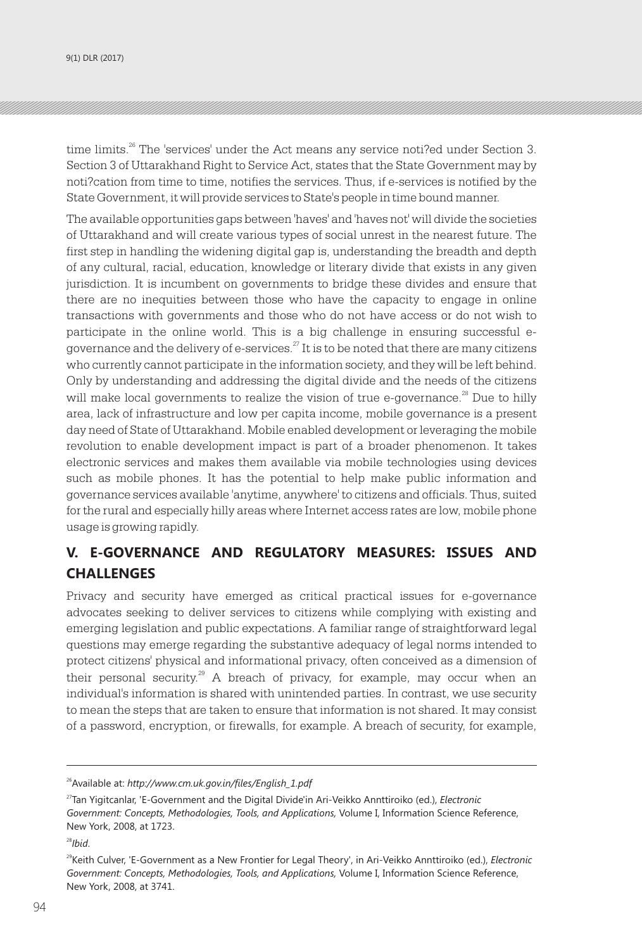time limits.<sup>26</sup> The 'services' under the Act means any service noti?ed under Section 3. Section 3 of Uttarakhand Right to Service Act, states that the State Government may by noti?cation from time to time, notifies the services. Thus, if e-services is notified by the State Government, it will provide services to State's people in time bound manner.

The available opportunities gaps between 'haves' and 'haves not' will divide the societies of Uttarakhand and will create various types of social unrest in the nearest future. The first step in handling the widening digital gap is, understanding the breadth and depth of any cultural, racial, education, knowledge or literary divide that exists in any given jurisdiction. It is incumbent on governments to bridge these divides and ensure that there are no inequities between those who have the capacity to engage in online transactions with governments and those who do not have access or do not wish to participate in the online world. This is a big challenge in ensuring successful egovernance and the delivery of e-services. $27$  It is to be noted that there are many citizens who currently cannot participate in the information society, and they will be left behind. Only by understanding and addressing the digital divide and the needs of the citizens will make local governments to realize the vision of true e-governance.<sup>28</sup> Due to hilly area, lack of infrastructure and low per capita income, mobile governance is a present day need of State of Uttarakhand. Mobile enabled development or leveraging the mobile revolution to enable development impact is part of a broader phenomenon. It takes electronic services and makes them available via mobile technologies using devices such as mobile phones. It has the potential to help make public information and governance services available 'anytime, anywhere' to citizens and officials. Thus, suited for the rural and especially hilly areas where Internet access rates are low, mobile phone usage is growing rapidly.

## **V. E-GOVERNANCE AND REGULATORY MEASURES: ISSUES AND CHALLENGES**

Privacy and security have emerged as critical practical issues for e-governance advocates seeking to deliver services to citizens while complying with existing and emerging legislation and public expectations. A familiar range of straightforward legal questions may emerge regarding the substantive adequacy of legal norms intended to protect citizens' physical and informational privacy, often conceived as a dimension of their personal security.<sup>29</sup> A breach of privacy, for example, may occur when an individual's information is shared with unintended parties. In contrast, we use security to mean the steps that are taken to ensure that information is not shared. It may consist of a password, encryption, or firewalls, for example. A breach of security, for example,

<sup>27</sup>Tan Yigitcanlar, 'E-Government and the Digital Divide'in Ari-Veikko Annttiroiko (ed.), *Electronic Government: Concepts, Methodologies, Tools, and Applications,* Volume I, Information Science Reference, New York, 2008, at 1723.

<sup>28</sup>*Ibid*.

<sup>26</sup>Available at: *http://www.cm.uk.gov.in/files/English\_1.pdf*

<sup>29</sup>Keith Culver, 'E-Government as a New Frontier for Legal Theory', in Ari-Veikko Annttiroiko (ed.), *Electronic Government: Concepts, Methodologies, Tools, and Applications,* Volume I, Information Science Reference, New York, 2008, at 3741.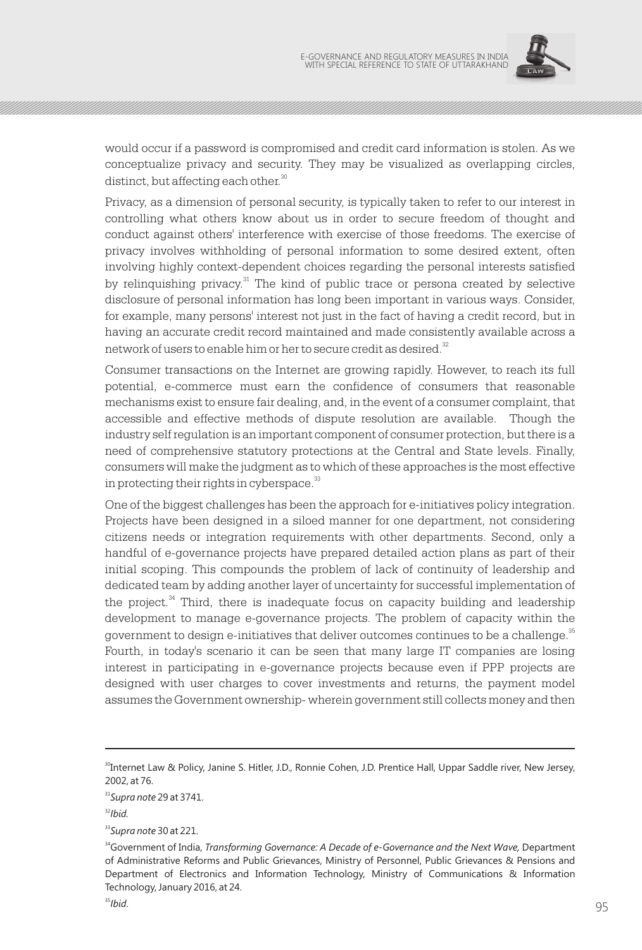

would occur if a password is compromised and credit card information is stolen. As we conceptualize privacy and security. They may be visualized as overlapping circles, distinct, but affecting each other.<sup>30</sup>

Privacy, as a dimension of personal security, is typically taken to refer to our interest in controlling what others know about us in order to secure freedom of thought and conduct against others' interference with exercise of those freedoms. The exercise of privacy involves withholding of personal information to some desired extent, often involving highly context-dependent choices regarding the personal interests satisfied by relinquishing privacy.<sup>31</sup> The kind of public trace or persona created by selective disclosure of personal information has long been important in various ways. Consider, for example, many persons' interest not just in the fact of having a credit record, but in having an accurate credit record maintained and made consistently available across a network of users to enable him or her to secure credit as desired.<sup>32</sup>

Consumer transactions on the Internet are growing rapidly. However, to reach its full potential, e-commerce must earn the confidence of consumers that reasonable mechanisms exist to ensure fair dealing, and, in the event of a consumer complaint, that accessible and effective methods of dispute resolution are available. Though the industry self regulation is an important component of consumer protection, but there is a need of comprehensive statutory protections at the Central and State levels. Finally, consumers will make the judgment as to which of these approaches is the most effective in protecting their rights in cyberspace. $33$ 

One of the biggest challenges has been the approach for e-initiatives policy integration. Projects have been designed in a siloed manner for one department, not considering citizens needs or integration requirements with other departments. Second, only a handful of e-governance projects have prepared detailed action plans as part of their initial scoping. This compounds the problem of lack of continuity of leadership and dedicated team by adding another layer of uncertainty for successful implementation of the project. $34$  Third, there is inadequate focus on capacity building and leadership development to manage e-governance projects. The problem of capacity within the government to design e-initiatives that deliver outcomes continues to be a challenge.<sup>35</sup> Fourth, in today's scenario it can be seen that many large IT companies are losing interest in participating in e-governance projects because even if PPP projects are designed with user charges to cover investments and returns, the payment model assumes the Government ownership- wherein government still collects money and then

<sup>&</sup>lt;sup>30</sup>Internet Law & Policy, Janine S. Hitler, J.D., Ronnie Cohen, J.D. Prentice Hall, Uppar Saddle river, New Jersey, 2002, at 76.

<sup>31</sup>*Supra note* 29 at 3741.

 $32$ *Ibid.* 

<sup>33</sup>*Supra note* 30 at 221.

<sup>34</sup>Government of India, *Transforming Governance: A Decade of e-Governance and the Next Wave,* Department of Administrative Reforms and Public Grievances, Ministry of Personnel, Public Grievances & Pensions and Department of Electronics and Information Technology, Ministry of Communications & Information Technology, January 2016, at 24.